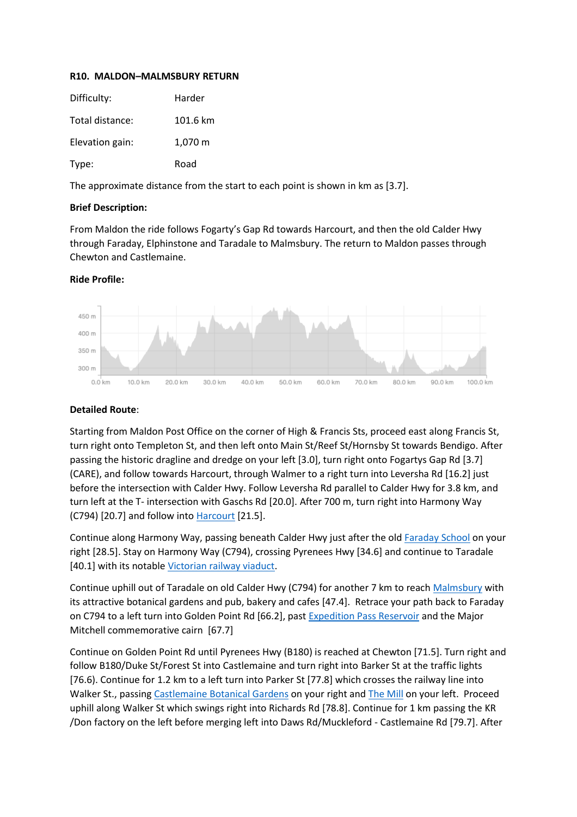## **R10. MALDON–MALMSBURY RETURN**

| Difficulty:     | Harder   |
|-----------------|----------|
| Total distance: | 101.6 km |
| Elevation gain: | 1,070 m  |
| Type:           | Road     |

The approximate distance from the start to each point is shown in km as [3.7].

## **Brief Description:**

From Maldon the ride follows Fogarty's Gap Rd towards Harcourt, and then the old Calder Hwy through Faraday, Elphinstone and Taradale to Malmsbury. The return to Maldon passes through Chewton and Castlemaine.

## **Ride Profile:**



## **Detailed Route**:

Starting from Maldon Post Office on the corner of High & Francis Sts, proceed east along Francis St, turn right onto Templeton St, and then left onto Main St/Reef St/Hornsby St towards Bendigo. After passing the historic dragline and dredge on your left [3.0], turn right onto Fogartys Gap Rd [3.7] (CARE), and follow towards Harcourt, through Walmer to a right turn into Leversha Rd [16.2] just before the intersection with Calder Hwy. Follow Leversha Rd parallel to Calder Hwy for 3.8 km, and turn left at the T- intersection with Gaschs Rd [20.0]. After 700 m, turn right into Harmony Way (C794) [20.7] and follow into [Harcourt](https://harcourt.vic.au/) [21.5].

Continue along Harmony Way, passing beneath Calder Hwy just after the old [Faraday School](https://en.wikipedia.org/wiki/Faraday,_Victoria) on your right [28.5]. Stay on Harmony Way (C794), crossing Pyrenees Hwy [34.6] and continue to Taradale [40.1] with its notable [Victorian railway viaduct.](https://en.wikipedia.org/wiki/Taradale_Viaduct)

Continue uphill out of Taradale on old Calder Hwy (C794) for another 7 km to reach [Malmsbury](https://www.visitmacedonranges.com/village/malmsbury/) with its attractive botanical gardens and pub, bakery and cafes [47.4]. Retrace your path back to Faraday on C794 to a left turn into Golden Point Rd [66.2], past [Expedition Pass Reservoir](https://www.goldfieldsguide.com.au/explore-location/313/expedition-pass-reservoir/) and the Major Mitchell commemorative cairn [67.7]

Continue on Golden Point Rd until Pyrenees Hwy (B180) is reached at Chewton [71.5]. Turn right and follow B180/Duke St/Forest St into Castlemaine and turn right into Barker St at the traffic lights [76.6). Continue for 1.2 km to a left turn into Parker St [77.8] which crosses the railway line into Walker St., passin[g Castlemaine Botanical](https://www.mountalexander.vic.gov.au/Castlemaine_Botanical_Gardens) Gardens on your right and [The Mill](https://millcastlemaine.com.au/) on your left. Proceed uphill along Walker St which swings right into Richards Rd [78.8]. Continue for 1 km passing the KR /Don factory on the left before merging left into Daws Rd/Muckleford - Castlemaine Rd [79.7]. After